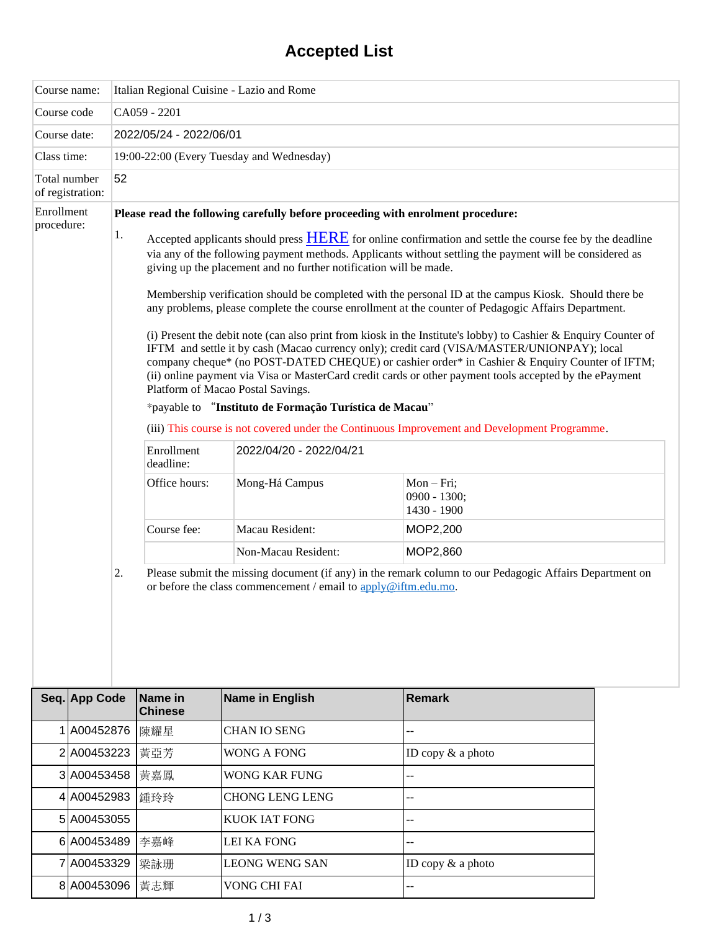## **Accepted List**

|                          | Course name:                     | Italian Regional Cuisine - Lazio and Rome |                                                                                                                                                                                                                                                                                                                                                                                                                                                                  |                                                                                 |                                                                                                         |  |  |
|--------------------------|----------------------------------|-------------------------------------------|------------------------------------------------------------------------------------------------------------------------------------------------------------------------------------------------------------------------------------------------------------------------------------------------------------------------------------------------------------------------------------------------------------------------------------------------------------------|---------------------------------------------------------------------------------|---------------------------------------------------------------------------------------------------------|--|--|
| Course code              |                                  | CA059 - 2201                              |                                                                                                                                                                                                                                                                                                                                                                                                                                                                  |                                                                                 |                                                                                                         |  |  |
| Course date:             |                                  | 2022/05/24 - 2022/06/01                   |                                                                                                                                                                                                                                                                                                                                                                                                                                                                  |                                                                                 |                                                                                                         |  |  |
| Class time:              |                                  | 19:00-22:00 (Every Tuesday and Wednesday) |                                                                                                                                                                                                                                                                                                                                                                                                                                                                  |                                                                                 |                                                                                                         |  |  |
|                          | Total number<br>of registration: | 52                                        |                                                                                                                                                                                                                                                                                                                                                                                                                                                                  |                                                                                 |                                                                                                         |  |  |
| Enrollment<br>procedure: |                                  | 1.                                        |                                                                                                                                                                                                                                                                                                                                                                                                                                                                  | Please read the following carefully before proceeding with enrolment procedure: |                                                                                                         |  |  |
|                          |                                  |                                           | Accepted applicants should press <b>HERE</b> for online confirmation and settle the course fee by the deadline<br>via any of the following payment methods. Applicants without settling the payment will be considered as<br>giving up the placement and no further notification will be made.                                                                                                                                                                   |                                                                                 |                                                                                                         |  |  |
|                          |                                  |                                           | Membership verification should be completed with the personal ID at the campus Kiosk. Should there be<br>any problems, please complete the course enrollment at the counter of Pedagogic Affairs Department.                                                                                                                                                                                                                                                     |                                                                                 |                                                                                                         |  |  |
|                          |                                  |                                           | (i) Present the debit note (can also print from kiosk in the Institute's lobby) to Cashier & Enquiry Counter of<br>IFTM and settle it by cash (Macao currency only); credit card (VISA/MASTER/UNIONPAY); local<br>company cheque* (no POST-DATED CHEQUE) or cashier order* in Cashier & Enquiry Counter of IFTM;<br>(ii) online payment via Visa or MasterCard credit cards or other payment tools accepted by the ePayment<br>Platform of Macao Postal Savings. |                                                                                 |                                                                                                         |  |  |
|                          |                                  |                                           |                                                                                                                                                                                                                                                                                                                                                                                                                                                                  | *payable to "Instituto de Formação Turística de Macau"                          |                                                                                                         |  |  |
|                          |                                  |                                           |                                                                                                                                                                                                                                                                                                                                                                                                                                                                  |                                                                                 | (iii) This course is not covered under the Continuous Improvement and Development Programme.            |  |  |
|                          |                                  |                                           | Enrollment<br>deadline:                                                                                                                                                                                                                                                                                                                                                                                                                                          | 2022/04/20 - 2022/04/21                                                         |                                                                                                         |  |  |
|                          |                                  |                                           | Office hours:                                                                                                                                                                                                                                                                                                                                                                                                                                                    | Mong-Há Campus                                                                  | $Mon-Fri;$<br>0900 - 1300;<br>1430 - 1900                                                               |  |  |
|                          |                                  |                                           | Course fee:                                                                                                                                                                                                                                                                                                                                                                                                                                                      | Macau Resident:                                                                 | MOP2,200                                                                                                |  |  |
|                          |                                  |                                           |                                                                                                                                                                                                                                                                                                                                                                                                                                                                  | Non-Macau Resident:                                                             | MOP2,860                                                                                                |  |  |
|                          |                                  | 2.                                        |                                                                                                                                                                                                                                                                                                                                                                                                                                                                  | or before the class commencement / email to apply@iftm.edu.mo.                  | Please submit the missing document (if any) in the remark column to our Pedagogic Affairs Department on |  |  |
|                          | Seq. App Code                    |                                           | Name in<br><b>Chinese</b>                                                                                                                                                                                                                                                                                                                                                                                                                                        | Name in English                                                                 | <b>Remark</b>                                                                                           |  |  |
|                          | 1 A00452876                      |                                           | 陳耀星                                                                                                                                                                                                                                                                                                                                                                                                                                                              | <b>CHAN IO SENG</b>                                                             | --                                                                                                      |  |  |
|                          | 2 A00453223                      |                                           | 黄亞芳                                                                                                                                                                                                                                                                                                                                                                                                                                                              | <b>WONG A FONG</b>                                                              | ID copy $&$ a photo                                                                                     |  |  |
|                          | 3 A00453458                      |                                           | 黃嘉鳳                                                                                                                                                                                                                                                                                                                                                                                                                                                              | <b>WONG KAR FUNG</b>                                                            | --                                                                                                      |  |  |
|                          | 4 A00452983                      |                                           | 鍾玲玲                                                                                                                                                                                                                                                                                                                                                                                                                                                              | <b>CHONG LENG LENG</b>                                                          | ÷.                                                                                                      |  |  |
|                          | 5 A00453055                      |                                           |                                                                                                                                                                                                                                                                                                                                                                                                                                                                  | <b>KUOK IAT FONG</b>                                                            |                                                                                                         |  |  |
|                          | 6 A00453489                      |                                           | 李嘉峰                                                                                                                                                                                                                                                                                                                                                                                                                                                              | <b>LEI KA FONG</b>                                                              | ż.                                                                                                      |  |  |
|                          | 7 A00453329                      |                                           | 梁詠珊                                                                                                                                                                                                                                                                                                                                                                                                                                                              | <b>LEONG WENG SAN</b>                                                           | ID copy $&$ a photo                                                                                     |  |  |
|                          | 8 A00453096                      |                                           | 黃志輝                                                                                                                                                                                                                                                                                                                                                                                                                                                              | VONG CHI FAI                                                                    | --                                                                                                      |  |  |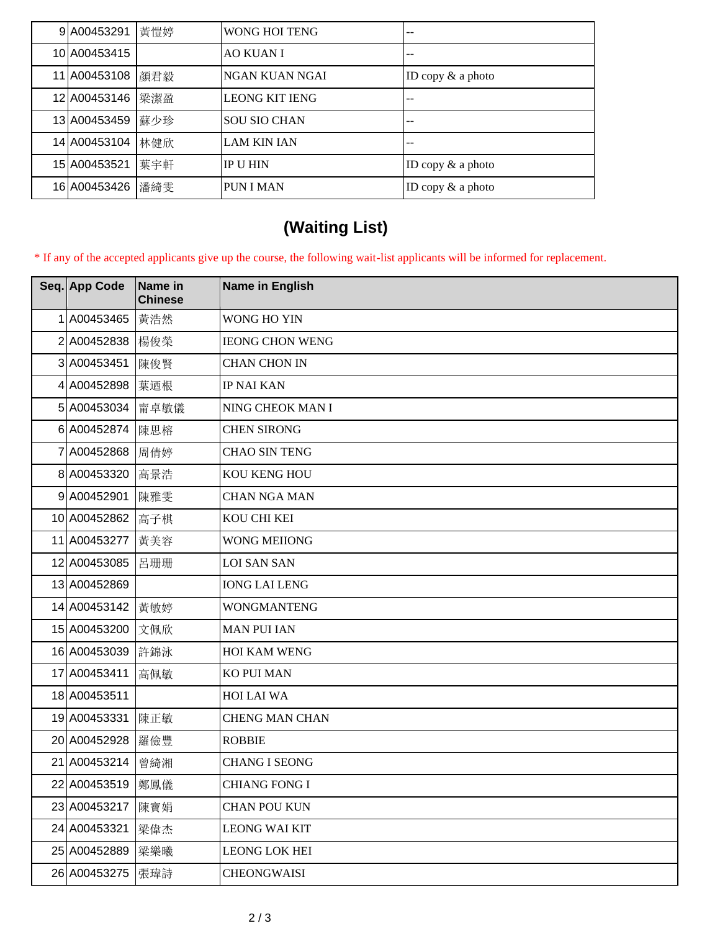| 9A00453291         | 黃愷婷 | <b>WONG HOI TENG</b>  | --                  |
|--------------------|-----|-----------------------|---------------------|
| 10 A00453415       |     | <b>AO KUAN I</b>      |                     |
| 11 A00453108   顏君毅 |     | <b>NGAN KUAN NGAI</b> | ID copy $&$ a photo |
| 12 A00453146       | 梁潔盈 | <b>LEONG KIT IENG</b> | --                  |
| 13 A00453459       | 蘇少珍 | <b>SOU SIO CHAN</b>   | --                  |
| 14 A00453104       | 林健欣 | <b>LAM KIN IAN</b>    |                     |
| 15 A00453521       | 葉宇軒 | <b>IP U HIN</b>       | ID copy $&$ a photo |
| 16 A00453426 潘綺雯   |     | <b>PUN I MAN</b>      | ID copy $&$ a photo |

## **(Waiting List)**

\* If any of the accepted applicants give up the course, the following wait-list applicants will be informed for replacement.

| Seq. App Code    | Name in<br><b>Chinese</b> | Name in English        |
|------------------|---------------------------|------------------------|
| A00453465        | 黃浩然                       | WONG HO YIN            |
| 2 A00452838      | 楊俊榮                       | <b>IEONG CHON WENG</b> |
| 3 A00453451      | 陳俊賢                       | <b>CHAN CHON IN</b>    |
| 4 A00452898      | 葉迺根                       | <b>IP NAI KAN</b>      |
| 5 A00453034      | 甯卓敏儀                      | NING CHEOK MAN I       |
| 6 A00452874      | 陳思榕                       | <b>CHEN SIRONG</b>     |
| 7 A00452868      | 周倩婷                       | <b>CHAO SIN TENG</b>   |
| 8 A00453320      | 高景浩                       | KOU KENG HOU           |
| 9 A00452901      | 陳雅雯                       | <b>CHAN NGA MAN</b>    |
| 10 A00452862     | 高子棋                       | KOU CHI KEI            |
| 11 A00453277     | 黄美容                       | <b>WONG MEIIONG</b>    |
| 12 A00453085     | 呂珊珊                       | <b>LOI SAN SAN</b>     |
| 13 A00452869     |                           | <b>IONG LAI LENG</b>   |
| 14 A00453142 黃敏婷 |                           | <b>WONGMANTENG</b>     |
| 15 A00453200     | 文佩欣                       | <b>MAN PUI IAN</b>     |
| 16 A00453039     | 許錦泳                       | <b>HOI KAM WENG</b>    |
| 17 A00453411     | 高佩敏                       | KO PUI MAN             |
| 18 A00453511     |                           | HOI LAI WA             |
| 19 A00453331     | 陳正敏                       | <b>CHENG MAN CHAN</b>  |
| 20 A00452928     | 羅儉豐                       | <b>ROBBIE</b>          |
| 21 A00453214     | 曾綺湘                       | <b>CHANG I SEONG</b>   |
| 22 A00453519     | 鄭鳳儀                       | <b>CHIANG FONG I</b>   |
| 23 A00453217     | 陳寶娟                       | <b>CHAN POU KUN</b>    |
| 24 A00453321     | 梁偉杰                       | <b>LEONG WAI KIT</b>   |
| 25 A00452889     | 梁樂曦                       | <b>LEONG LOK HEI</b>   |
| 26 A00453275     | 張瑋詩                       | <b>CHEONGWAISI</b>     |